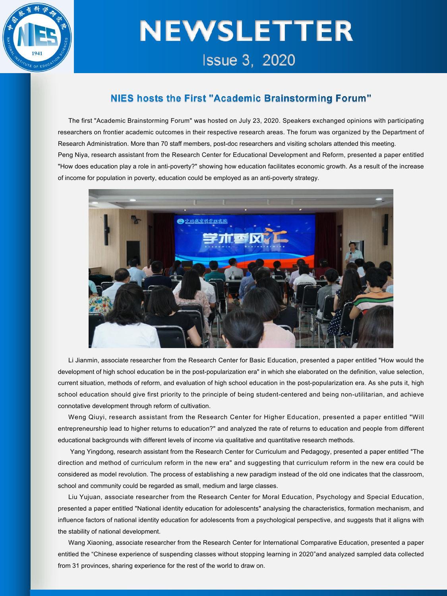

# **NEWSLETTER Issue 3. 2020**

### NIES hosts the First "Academic Brainstorming Forum"

The first "Academic Brainstorming Forum" was hosted on July 23, 2020. Speakers exchanged opinions with participating researchers on frontier academic outcomes in their respective research areas. The forum was organized by the Department of Research Administration. More than 70 staff members, post-doc researchers and visiting scholars attended this meeting.<br>Peng Niya, research assistant from the Research Center for Educational Development and Reform, presente "How does education play a role in anti-poverty?" showing how education facilitates economic growth. As a result of the increase of income for population in poverty, education could be employed as an anti-poverty strategy.



Li Jianmin, associate researcher from the Research Center for Basic Education, presented a paper entitled "How would the development of high school education be in the post-popularization era" in which she elaborated on the definition, value selection, current situation, methods of reform, and evaluation of high school education in the post-popularization era. As she puts it, high school education should give first priority to the principle of being student-centered and being non-utilitarian, and achieve connotative development through reform of cultivation.

Weng Qiuyi, research assistant from the Research Center for Higher Education, presented a paperentitled "Will entrepreneurship lead to higher returns to education?" and analyzed the rate of returns to education and people from different educational backgrounds with different levels of income via qualitative and quantitative research methods.

Yang Yingdong, research assistant from the Research Center for Curriculum and Pedagogy, presented a paper entitled "The direction and method of curriculum reform in the new era" and suggesting that curriculum reform in the new era could be considered as model revolution. The process of establishing a new paradigm instead of the old one indicates that the classroom, school and community could be regarded as small, medium and large classes.

Liu Yujuan, associate researcher from the Research Center for Moral Education, Psychology and Special Education, presented a paper entitled "National identity education for adolescents" analysing the characteristics, formation mechanism, and influence factors of national identity education for adolescents from a psychological perspective, and suggests that it aligns with the stability of national development.

Wang Xiaoning, associate researcher from the Research Center for International Comparative Education, presented a paper entitled the "Chinese experience of suspending classes without stopping learning in 2020"and analyzed sampled data collected from 31 provinces, sharing experience for the rest of the world to draw on.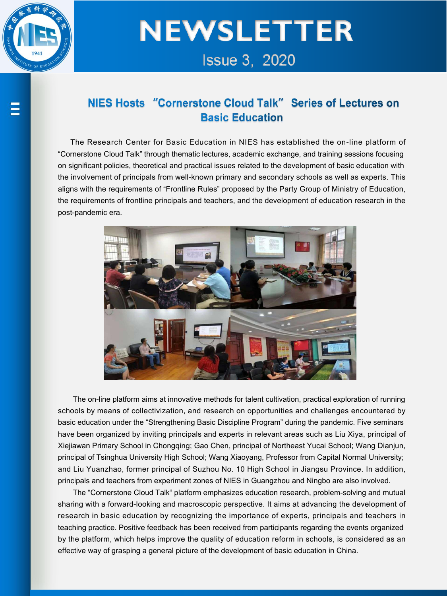

## **NEWSLETTER Issue 3, 2020**

### NIES Hosts "Cornerstone Cloud Talk" Series of Lectures on **Basic Education**

The Research Center for Basic Education in NIES has established the on-line platform of "Cornerstone Cloud Talk" through thematic lectures, academic exchange, and training sessions focusing on significant policies, theoretical and practical issues related to the development of basic education with the involvement of principals from well-known primary and secondary schools as well as experts. This aligns with the requirements of "Frontline Rules" proposed by the Party Group of Ministry of Education, the requirements of frontline principals and teachers, and the development of education research in the post-pandemic era.



The on-line platform aims at innovative methods for talent cultivation, practical exploration of running schools by means of collectivization, and research on opportunities and challenges encountered by basic education under the "Strengthening Basic Discipline Program" during the pandemic. Five seminars have been organized by inviting principals and experts in relevant areas such as Liu Xiya, principal of Xiejiawan Primary School in Chongqing; Gao Chen, principal of Northeast Yucai School; Wang Dianjun, principal of Tsinghua University High School; Wang Xiaoyang, Professor from Capital Normal University; and Liu Yuanzhao, former principal of Suzhou No. 10 High School in Jiangsu Province. In addition, principals and teachers from experiment zones of NIES in Guangzhou and Ningbo are also involved.

The "Cornerstone Cloud Talk" platform emphasizes education research, problem-solving and mutual sharing with a forward-looking and macroscopic perspective. It aims at advancing the development of research in basic education by recognizing the importance of experts, principals and teachers in teaching practice. Positive feedback has been received from participants regarding the events organized by the platform, which helps improve the quality of education reform in schools, is considered as an effective way of grasping a general picture of the development of basic education in China.